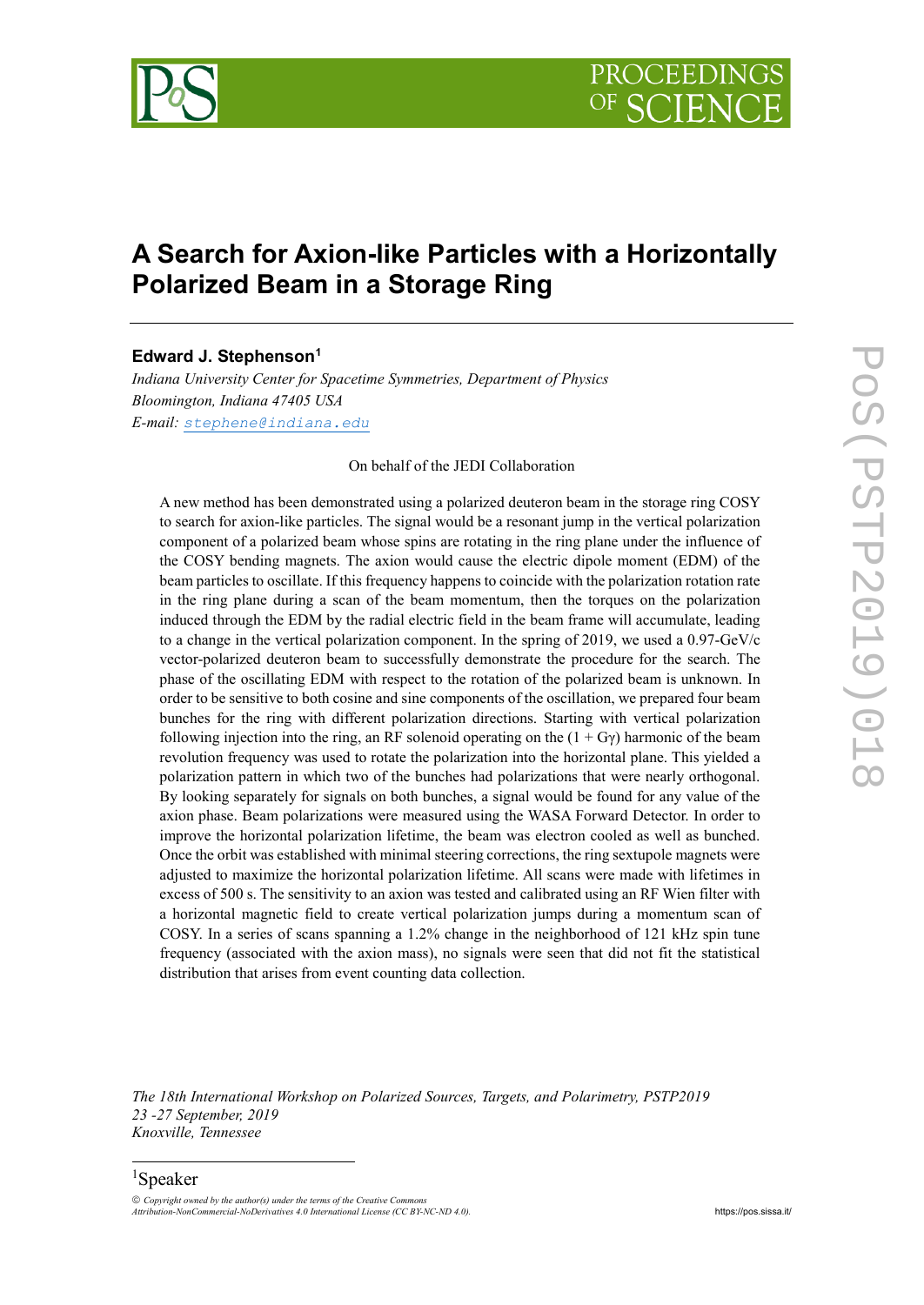

# **A Search for Axion-like Particles with a Horizontally Polarized Beam in a Storage Ring**

## **Edward J. Stephenson[1](#page-0-0)**

*Indiana University Center for Spacetime Symmetries, Department of Physics Bloomington, Indiana 47405 USA E-mail: [stephene@indiana.edu](mailto:stephene@indiana.edu)*

#### On behalf of the JEDI Collaboration

A new method has been demonstrated using a polarized deuteron beam in the storage ring COSY to search for axion-like particles. The signal would be a resonant jump in the vertical polarization component of a polarized beam whose spins are rotating in the ring plane under the influence of the COSY bending magnets. The axion would cause the electric dipole moment (EDM) of the beam particles to oscillate. If this frequency happens to coincide with the polarization rotation rate in the ring plane during a scan of the beam momentum, then the torques on the polarization induced through the EDM by the radial electric field in the beam frame will accumulate, leading to a change in the vertical polarization component. In the spring of 2019, we used a 0.97-GeV/c vector-polarized deuteron beam to successfully demonstrate the procedure for the search. The phase of the oscillating EDM with respect to the rotation of the polarized beam is unknown. In order to be sensitive to both cosine and sine components of the oscillation, we prepared four beam bunches for the ring with different polarization directions. Starting with vertical polarization following injection into the ring, an RF solenoid operating on the  $(1 + Gy)$  harmonic of the beam revolution frequency was used to rotate the polarization into the horizontal plane. This yielded a polarization pattern in which two of the bunches had polarizations that were nearly orthogonal. By looking separately for signals on both bunches, a signal would be found for any value of the axion phase. Beam polarizations were measured using the WASA Forward Detector. In order to improve the horizontal polarization lifetime, the beam was electron cooled as well as bunched. Once the orbit was established with minimal steering corrections, the ring sextupole magnets were adjusted to maximize the horizontal polarization lifetime. All scans were made with lifetimes in excess of 500 s. The sensitivity to an axion was tested and calibrated using an RF Wien filter with a horizontal magnetic field to create vertical polarization jumps during a momentum scan of COSY. In a series of scans spanning a 1.2% change in the neighborhood of 121 kHz spin tune frequency (associated with the axion mass), no signals were seen that did not fit the statistical distribution that arises from event counting data collection.

*The 18th International Workshop on Polarized Sources, Targets, and Polarimetry, PSTP2019 23 -27 September, 2019 Knoxville, Tennessee*

# 1 Speaker

<span id="page-0-0"></span> $O$  *Copyright owned by the author(s) under the terms of the Creative Commons Attribution-NonCommercial-NoDerivatives 4.0 International License (CC BY-NC-ND 4.0).* [https://pos.sissa.it/](http://pos.sissa.it/)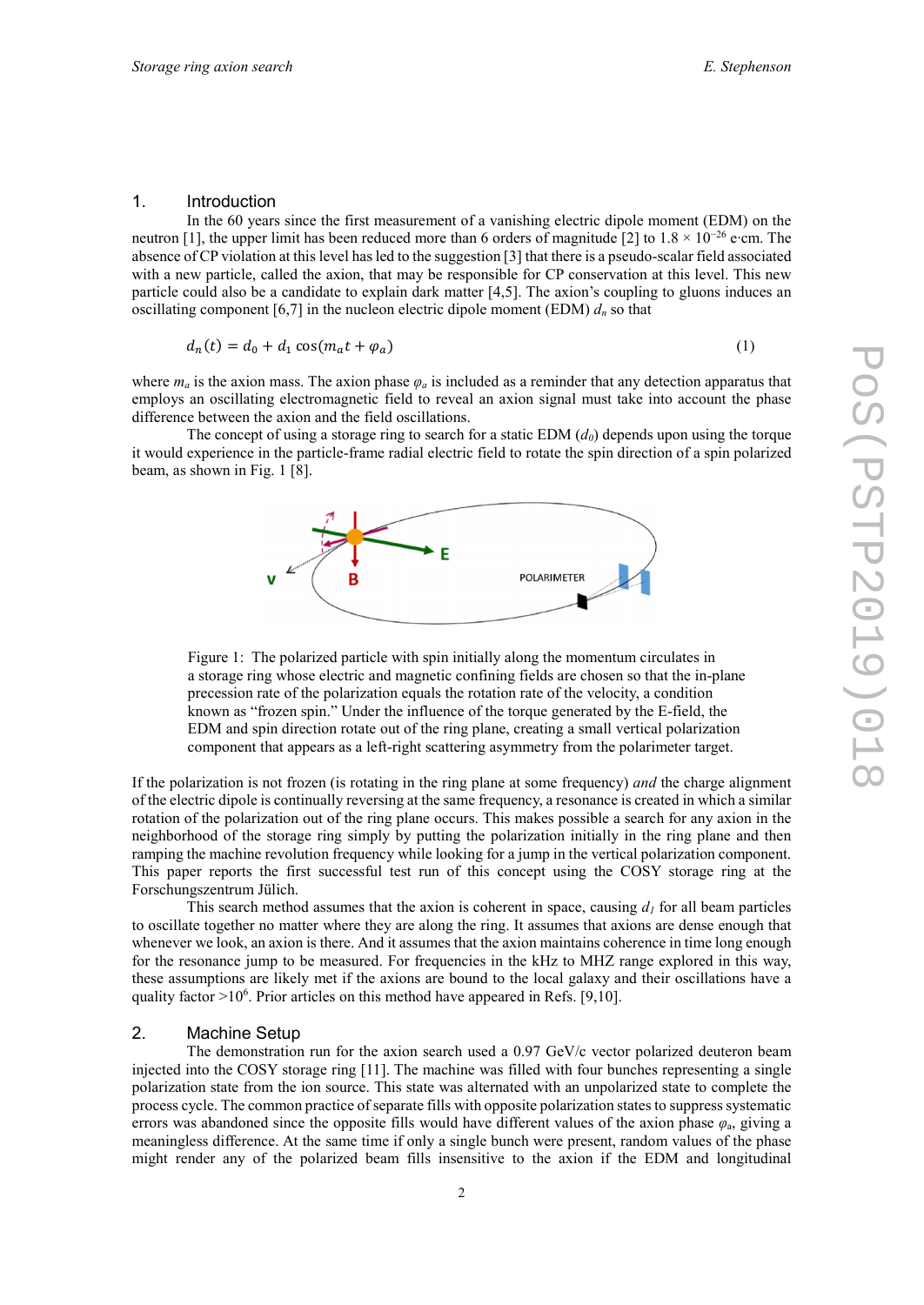#### 1. Introduction

In the 60 years since the first measurement of a vanishing electric dipole moment (EDM) on the neutron [1], the upper limit has been reduced more than 6 orders of magnitude [2] to  $1.8 \times 10^{-26}$  e∙cm. The absence of CP violation at this level has led to the suggestion [3] that there is a pseudo-scalar field associated with a new particle, called the axion, that may be responsible for CP conservation at this level. This new particle could also be a candidate to explain dark matter [4,5]. The axion's coupling to gluons induces an oscillating component  $[6,7]$  in the nucleon electric dipole moment (EDM)  $d_n$  so that

$$
d_n(t) = d_0 + d_1 \cos(m_a t + \varphi_a) \tag{1}
$$

where  $m_a$  is the axion mass. The axion phase  $\varphi_a$  is included as a reminder that any detection apparatus that employs an oscillating electromagnetic field to reveal an axion signal must take into account the phase difference between the axion and the field oscillations.

The concept of using a storage ring to search for a static EDM  $(d<sub>0</sub>)$  depends upon using the torque it would experience in the particle-frame radial electric field to rotate the spin direction of a spin polarized beam, as shown in Fig. 1 [8].



Figure 1: The polarized particle with spin initially along the momentum circulates in a storage ring whose electric and magnetic confining fields are chosen so that the in-plane precession rate of the polarization equals the rotation rate of the velocity, a condition known as "frozen spin." Under the influence of the torque generated by the E-field, the EDM and spin direction rotate out of the ring plane, creating a small vertical polarization component that appears as a left-right scattering asymmetry from the polarimeter target.

If the polarization is not frozen (is rotating in the ring plane at some frequency) *and* the charge alignment of the electric dipole is continually reversing at the same frequency, a resonance is created in which a similar rotation of the polarization out of the ring plane occurs. This makes possible a search for any axion in the neighborhood of the storage ring simply by putting the polarization initially in the ring plane and then ramping the machine revolution frequency while looking for a jump in the vertical polarization component. This paper reports the first successful test run of this concept using the COSY storage ring at the Forschungszentrum Jülich.

This search method assumes that the axion is coherent in space, causing  $d_l$  for all beam particles to oscillate together no matter where they are along the ring. It assumes that axions are dense enough that whenever we look, an axion is there. And it assumes that the axion maintains coherence in time long enough for the resonance jump to be measured. For frequencies in the kHz to MHZ range explored in this way, these assumptions are likely met if the axions are bound to the local galaxy and their oscillations have a quality factor >10<sup>6</sup>. Prior articles on this method have appeared in Refs. [9,10].

#### 2. Machine Setup

The demonstration run for the axion search used a 0.97 GeV/c vector polarized deuteron beam injected into the COSY storage ring [11]. The machine was filled with four bunches representing a single polarization state from the ion source. This state was alternated with an unpolarized state to complete the process cycle. The common practice of separate fills with opposite polarization states to suppress systematic errors was abandoned since the opposite fills would have different values of the axion phase  $\varphi_a$ , giving a meaningless difference. At the same time if only a single bunch were present, random values of the phase might render any of the polarized beam fills insensitive to the axion if the EDM and longitudinal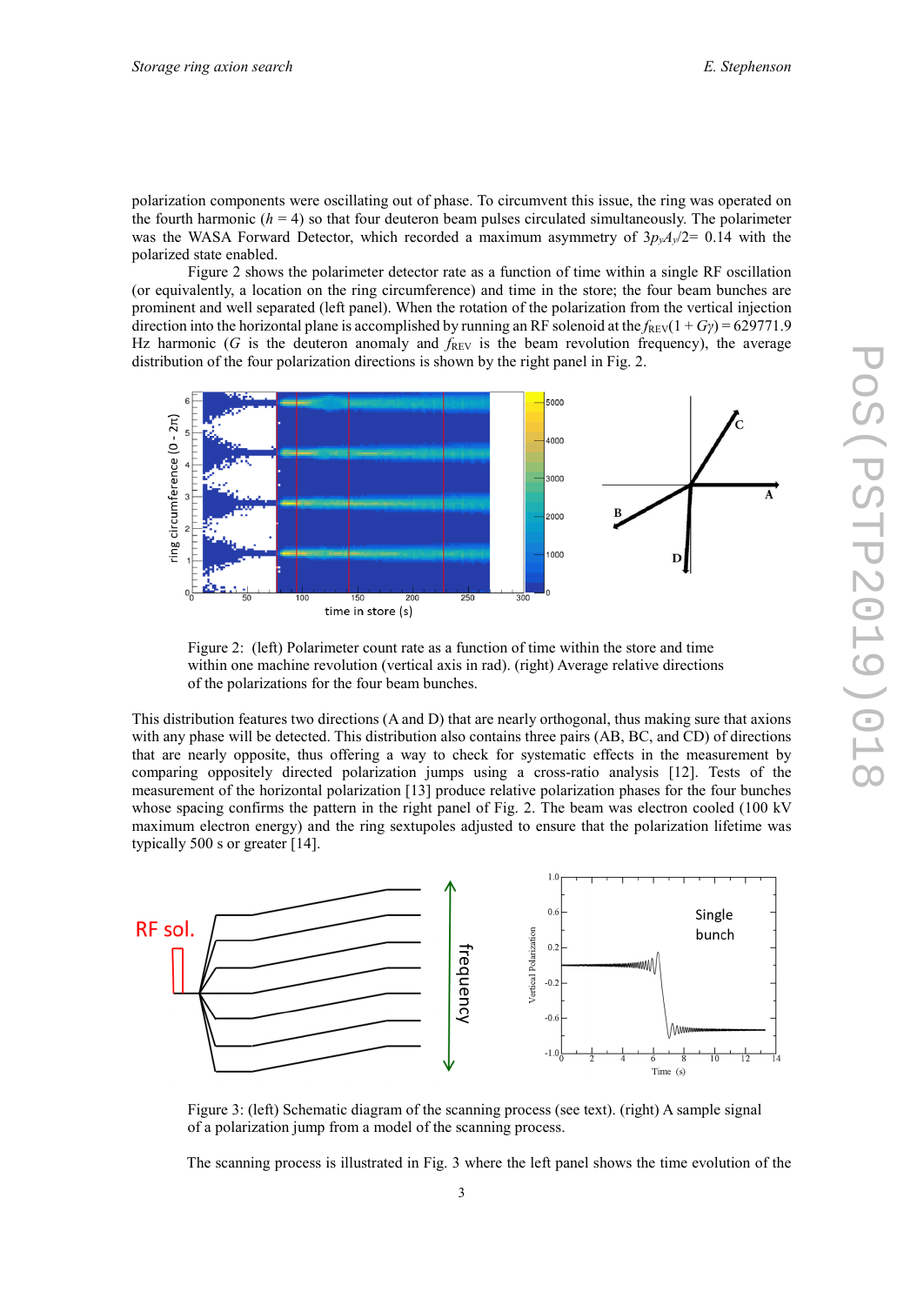polarization components were oscillating out of phase. To circumvent this issue, the ring was operated on the fourth harmonic  $(h = 4)$  so that four deuteron beam pulses circulated simultaneously. The polarimeter was the WASA Forward Detector, which recorded a maximum asymmetry of  $3p_vA_v/2=0.14$  with the polarized state enabled.

Figure 2 shows the polarimeter detector rate as a function of time within a single RF oscillation (or equivalently, a location on the ring circumference) and time in the store; the four beam bunches are prominent and well separated (left panel). When the rotation of the polarization from the vertical injection direction into the horizontal plane is accomplished by running an RF solenoid at the  $f_{REV}(1 + Gy) = 629771.9$ Hz harmonic (*G* is the deuteron anomaly and  $f_{REV}$  is the beam revolution frequency), the average distribution of the four polarization directions is shown by the right panel in Fig. 2.



Figure 2: (left) Polarimeter count rate as a function of time within the store and time within one machine revolution (vertical axis in rad). (right) Average relative directions of the polarizations for the four beam bunches.

This distribution features two directions (A and D) that are nearly orthogonal, thus making sure that axions with any phase will be detected. This distribution also contains three pairs (AB, BC, and CD) of directions that are nearly opposite, thus offering a way to check for systematic effects in the measurement by comparing oppositely directed polarization jumps using a cross-ratio analysis [12]. Tests of the measurement of the horizontal polarization [13] produce relative polarization phases for the four bunches whose spacing confirms the pattern in the right panel of Fig. 2. The beam was electron cooled (100 kV maximum electron energy) and the ring sextupoles adjusted to ensure that the polarization lifetime was typically 500 s or greater [14].



Figure 3: (left) Schematic diagram of the scanning process (see text). (right) A sample signal of a polarization jump from a model of the scanning process.

The scanning process is illustrated in Fig. 3 where the left panel shows the time evolution of the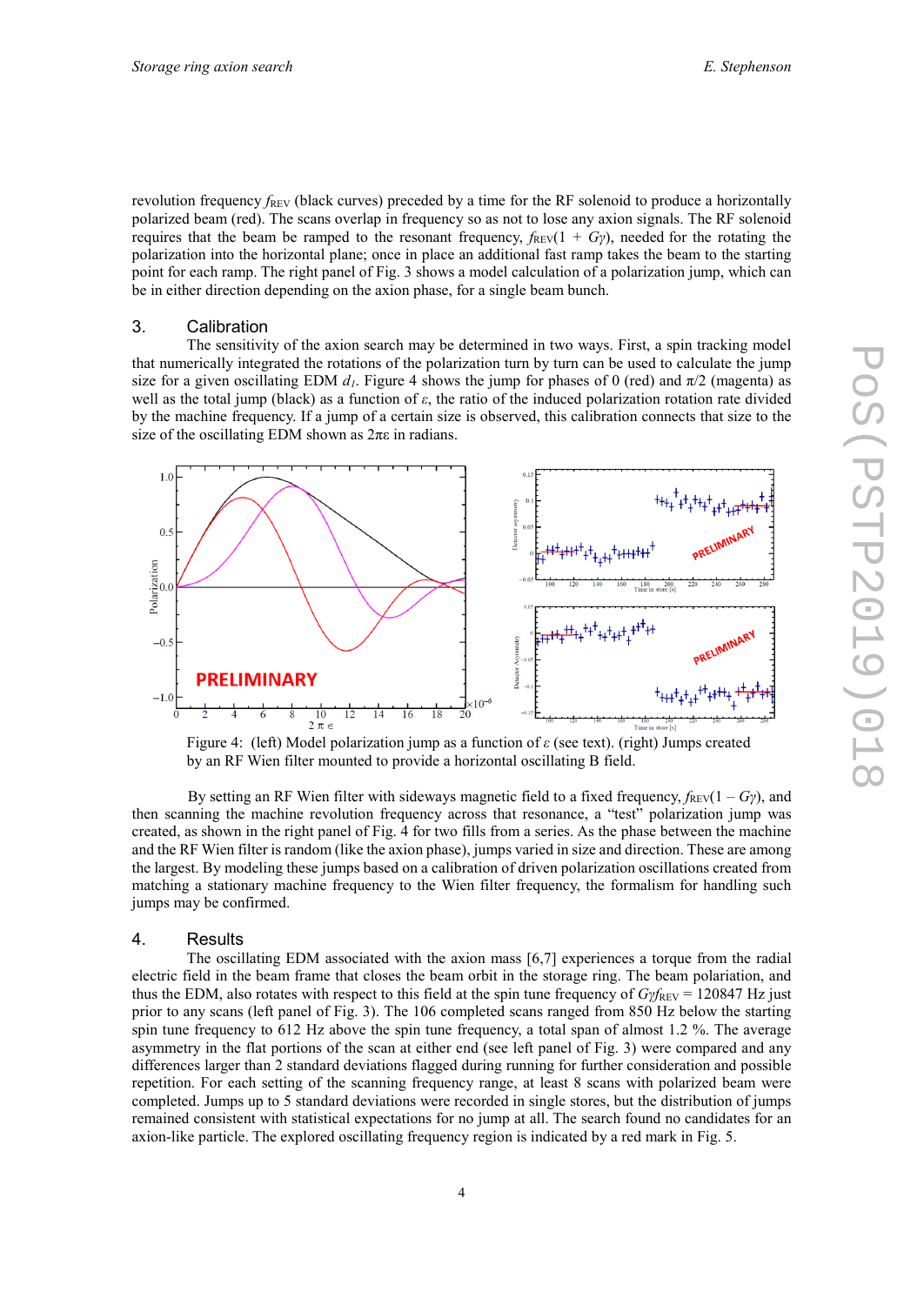revolution frequency *f*<sub>REV</sub> (black curves) preceded by a time for the RF solenoid to produce a horizontally polarized beam (red). The scans overlap in frequency so as not to lose any axion signals. The RF solenoid requires that the beam be ramped to the resonant frequency,  $f_{REV}(1 + G\gamma)$ , needed for the rotating the polarization into the horizontal plane; once in place an additional fast ramp takes the beam to the starting point for each ramp. The right panel of Fig. 3 shows a model calculation of a polarization jump, which can be in either direction depending on the axion phase, for a single beam bunch.

#### 3. Calibration

The sensitivity of the axion search may be determined in two ways. First, a spin tracking model that numerically integrated the rotations of the polarization turn by turn can be used to calculate the jump size for a given oscillating EDM  $d_l$ . Figure 4 shows the jump for phases of 0 (red) and  $\pi/2$  (magenta) as well as the total jump (black) as a function of *ε*, the ratio of the induced polarization rotation rate divided by the machine frequency. If a jump of a certain size is observed, this calibration connects that size to the size of the oscillating EDM shown as  $2\pi\varepsilon$  in radians.



by an RF Wien filter mounted to provide a horizontal oscillating B field.

By setting an RF Wien filter with sideways magnetic field to a fixed frequency,  $f_{REV}(1 - G_{\gamma})$ , and then scanning the machine revolution frequency across that resonance, a "test" polarization jump was created, as shown in the right panel of Fig. 4 for two fills from a series. As the phase between the machine and the RF Wien filter is random (like the axion phase), jumps varied in size and direction. These are among the largest. By modeling these jumps based on a calibration of driven polarization oscillations created from matching a stationary machine frequency to the Wien filter frequency, the formalism for handling such jumps may be confirmed.

#### 4. Results

The oscillating EDM associated with the axion mass [6,7] experiences a torque from the radial electric field in the beam frame that closes the beam orbit in the storage ring. The beam polariation, and thus the EDM, also rotates with respect to this field at the spin tune frequency of *Gγf*<sub>REV</sub> = 120847 Hz just prior to any scans (left panel of Fig. 3). The 106 completed scans ranged from 850 Hz below the starting spin tune frequency to 612 Hz above the spin tune frequency, a total span of almost 1.2 %. The average asymmetry in the flat portions of the scan at either end (see left panel of Fig. 3) were compared and any differences larger than 2 standard deviations flagged during running for further consideration and possible repetition. For each setting of the scanning frequency range, at least 8 scans with polarized beam were completed. Jumps up to 5 standard deviations were recorded in single stores, but the distribution of jumps remained consistent with statistical expectations for no jump at all. The search found no candidates for an axion-like particle. The explored oscillating frequency region is indicated by a red mark in Fig. 5.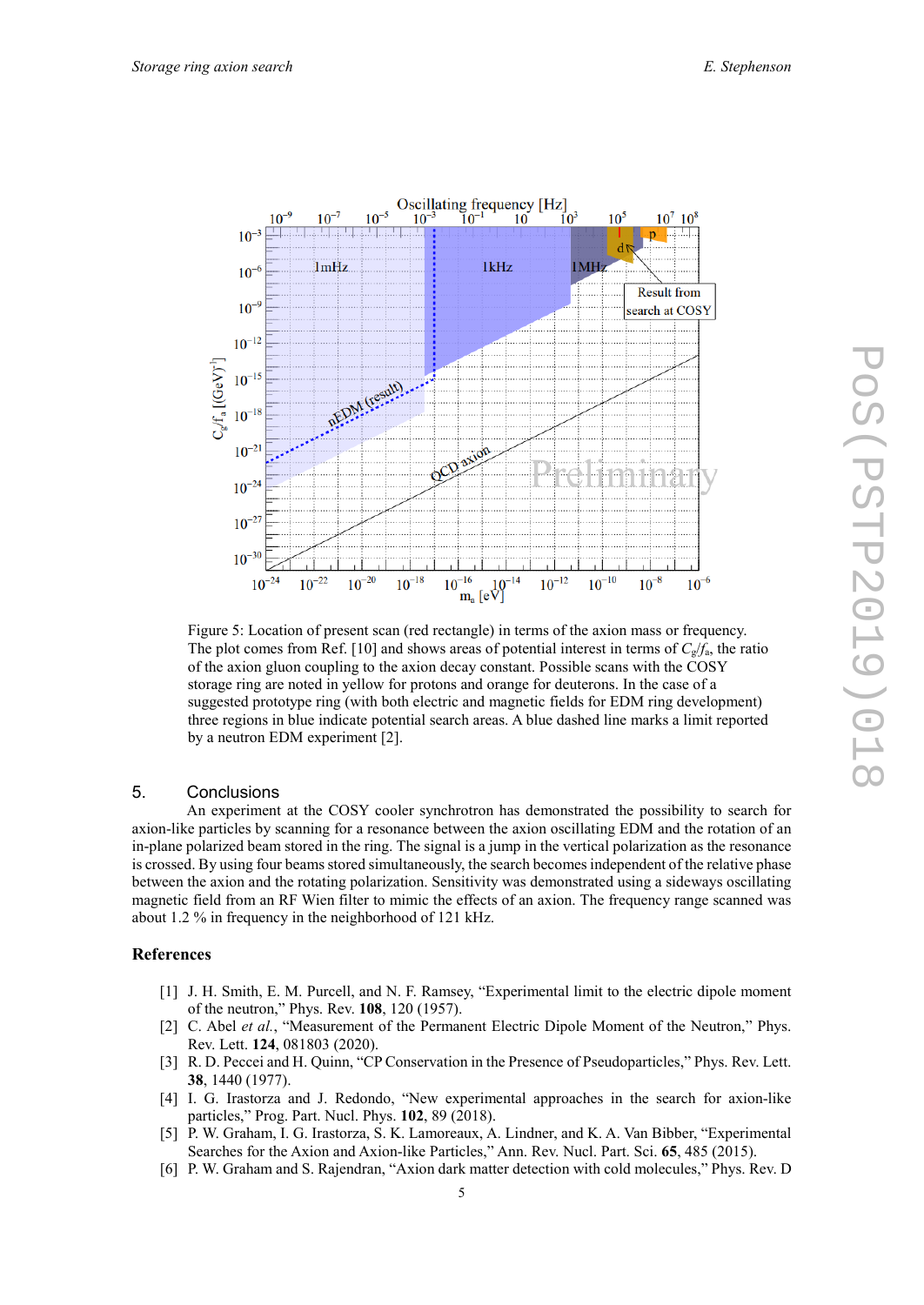

Figure 5: Location of present scan (red rectangle) in terms of the axion mass or frequency. The plot comes from Ref. [10] and shows areas of potential interest in terms of  $C_g/f_a$ , the ratio of the axion gluon coupling to the axion decay constant. Possible scans with the COSY storage ring are noted in yellow for protons and orange for deuterons. In the case of a suggested prototype ring (with both electric and magnetic fields for EDM ring development) three regions in blue indicate potential search areas. A blue dashed line marks a limit reported by a neutron EDM experiment [2].

### 5. Conclusions

An experiment at the COSY cooler synchrotron has demonstrated the possibility to search for axion-like particles by scanning for a resonance between the axion oscillating EDM and the rotation of an in-plane polarized beam stored in the ring. The signal is a jump in the vertical polarization as the resonance is crossed. By using four beams stored simultaneously, the search becomes independent of the relative phase between the axion and the rotating polarization. Sensitivity was demonstrated using a sideways oscillating magnetic field from an RF Wien filter to mimic the effects of an axion. The frequency range scanned was about 1.2 % in frequency in the neighborhood of 121 kHz.

#### **References**

- [1] J. H. Smith, E. M. Purcell, and N. F. Ramsey, "Experimental limit to the electric dipole moment of the neutron," Phys. Rev. **108**, 120 (1957).
- [2] C. Abel et al., "Measurement of the Permanent Electric Dipole Moment of the Neutron," Phys. Rev. Lett. **124**, 081803 (2020).
- [3] R. D. Peccei and H. Quinn, "CP Conservation in the Presence of Pseudoparticles," Phys. Rev. Lett. **38**, 1440 (1977).
- [4] I. G. Irastorza and J. Redondo, "New experimental approaches in the search for axion-like particles," Prog. Part. Nucl. Phys. **102**, 89 (2018).
- [5] P. W. Graham, I. G. Irastorza, S. K. Lamoreaux, A. Lindner, and K. A. Van Bibber, "Experimental Searches for the Axion and Axion-like Particles," Ann. Rev. Nucl. Part. Sci. **65**, 485 (2015).
- [6] P. W. Graham and S. Rajendran, "Axion dark matter detection with cold molecules," Phys. Rev. D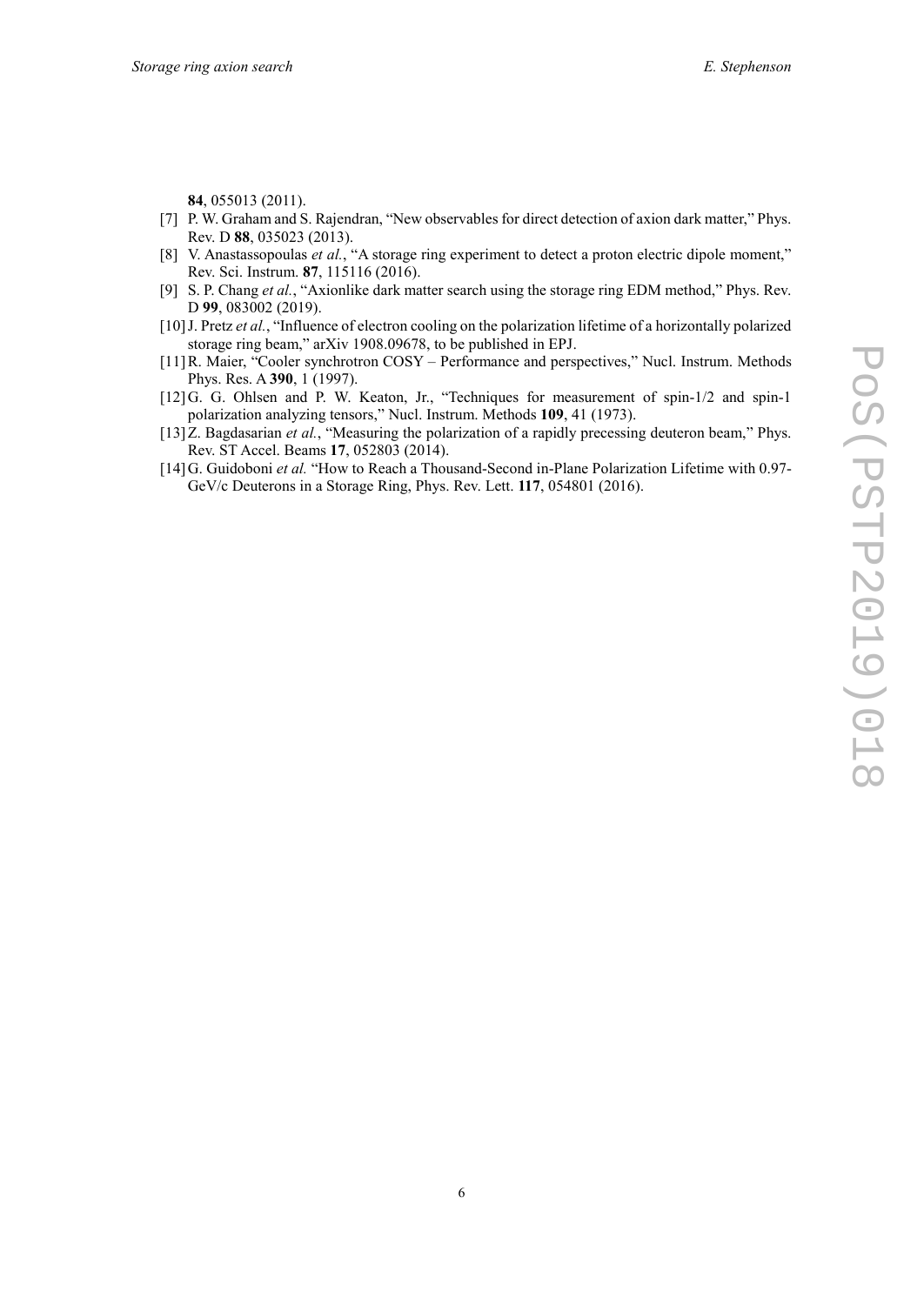**84**, 055013 (2011).

- [7] P. W. Graham and S. Rajendran, "New observables for direct detection of axion dark matter," Phys. Rev. D **88**, 035023 (2013).
- [8] V. Anastassopoulas *et al.*, "A storage ring experiment to detect a proton electric dipole moment," Rev. Sci. Instrum. **87**, 115116 (2016).
- [9] S. P. Chang *et al.*, "Axionlike dark matter search using the storage ring EDM method," Phys. Rev. D **99**, 083002 (2019).
- [10]J. Pretz *et al.*, "Influence of electron cooling on the polarization lifetime of a horizontally polarized storage ring beam," arXiv 1908.09678, to be published in EPJ.
- [11]R. Maier, "Cooler synchrotron COSY Performance and perspectives," Nucl. Instrum. Methods Phys. Res. A **390**, 1 (1997).
- [12]G. G. Ohlsen and P. W. Keaton, Jr., "Techniques for measurement of spin-1/2 and spin-1 polarization analyzing tensors," Nucl. Instrum. Methods **109**, 41 (1973).
- [13]Z. Bagdasarian *et al.*, "Measuring the polarization of a rapidly precessing deuteron beam," Phys. Rev. ST Accel. Beams **17**, 052803 (2014).
- [14]G. Guidoboni *et al.* "How to Reach a Thousand-Second in-Plane Polarization Lifetime with 0.97- GeV/c Deuterons in a Storage Ring, Phys. Rev. Lett. **117**, 054801 (2016).